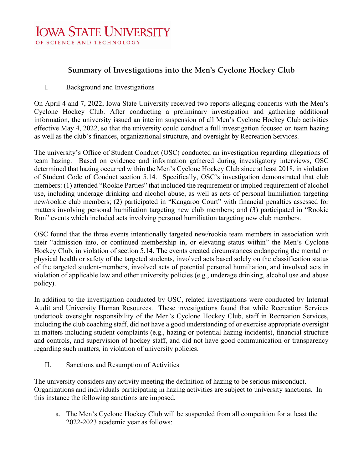## **IOWA STATE UNIVERSITY** OF SCIENCE AND TECHNOLOGY

## **Summary of Investigations into the Men's Cyclone Hockey Club**

## I. Background and Investigations

On April 4 and 7, 2022, Iowa State University received two reports alleging concerns with the Men's Cyclone Hockey Club. After conducting a preliminary investigation and gathering additional information, the university issued an interim suspension of all Men's Cyclone Hockey Club activities effective May 4, 2022, so that the university could conduct a full investigation focused on team hazing as well as the club's finances, organizational structure, and oversight by Recreation Services.

The university's Office of Student Conduct (OSC) conducted an investigation regarding allegations of team hazing. Based on evidence and information gathered during investigatory interviews, OSC determined that hazing occurred within the Men's Cyclone Hockey Club since at least 2018, in violation of Student Code of Conduct section 5.14. Specifically, OSC's investigation demonstrated that club members: (1) attended "Rookie Parties" that included the requirement or implied requirement of alcohol use, including underage drinking and alcohol abuse, as well as acts of personal humiliation targeting new/rookie club members; (2) participated in "Kangaroo Court" with financial penalties assessed for matters involving personal humiliation targeting new club members; and (3) participated in "Rookie Run" events which included acts involving personal humiliation targeting new club members.

OSC found that the three events intentionally targeted new/rookie team members in association with their "admission into, or continued membership in, or elevating status within" the Men's Cyclone Hockey Club, in violation of section 5.14. The events created circumstances endangering the mental or physical health or safety of the targeted students, involved acts based solely on the classification status of the targeted student-members, involved acts of potential personal humiliation, and involved acts in violation of applicable law and other university policies (e.g., underage drinking, alcohol use and abuse policy).

In addition to the investigation conducted by OSC, related investigations were conducted by Internal Audit and University Human Resources. These investigations found that while Recreation Services undertook oversight responsibility of the Men's Cyclone Hockey Club, staff in Recreation Services, including the club coaching staff, did not have a good understanding of or exercise appropriate oversight in matters including student complaints (e.g., hazing or potential hazing incidents), financial structure and controls, and supervision of hockey staff, and did not have good communication or transparency regarding such matters, in violation of university policies.

II. Sanctions and Resumption of Activities

The university considers any activity meeting the definition of hazing to be serious misconduct. Organizations and individuals participating in hazing activities are subject to university sanctions. In this instance the following sanctions are imposed.

a. The Men's Cyclone Hockey Club will be suspended from all competition for at least the 2022-2023 academic year as follows: